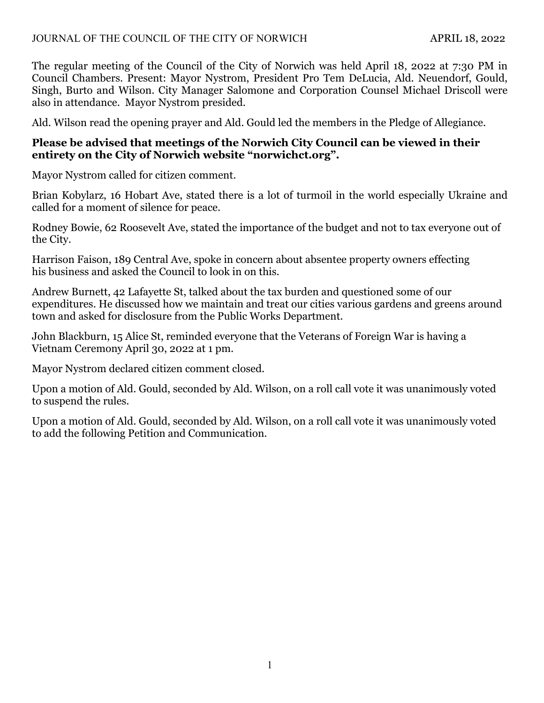The regular meeting of the Council of the City of Norwich was held April 18, 2022 at 7:30 PM in Council Chambers. Present: Mayor Nystrom, President Pro Tem DeLucia, Ald. Neuendorf, Gould, Singh, Burto and Wilson. City Manager Salomone and Corporation Counsel Michael Driscoll were also in attendance. Mayor Nystrom presided.

Ald. Wilson read the opening prayer and Ald. Gould led the members in the Pledge of Allegiance.

# **Please be advised that meetings of the Norwich City Council can be viewed in their entirety on the City of Norwich website "norwichct.org".**

Mayor Nystrom called for citizen comment.

Brian Kobylarz, 16 Hobart Ave, stated there is a lot of turmoil in the world especially Ukraine and called for a moment of silence for peace.

Rodney Bowie, 62 Roosevelt Ave, stated the importance of the budget and not to tax everyone out of the City.

Harrison Faison, 189 Central Ave, spoke in concern about absentee property owners effecting his business and asked the Council to look in on this.

Andrew Burnett, 42 Lafayette St, talked about the tax burden and questioned some of our expenditures. He discussed how we maintain and treat our cities various gardens and greens around town and asked for disclosure from the Public Works Department.

John Blackburn, 15 Alice St, reminded everyone that the Veterans of Foreign War is having a Vietnam Ceremony April 30, 2022 at 1 pm.

Mayor Nystrom declared citizen comment closed.

Upon a motion of Ald. Gould, seconded by Ald. Wilson, on a roll call vote it was unanimously voted to suspend the rules.

Upon a motion of Ald. Gould, seconded by Ald. Wilson, on a roll call vote it was unanimously voted to add the following Petition and Communication.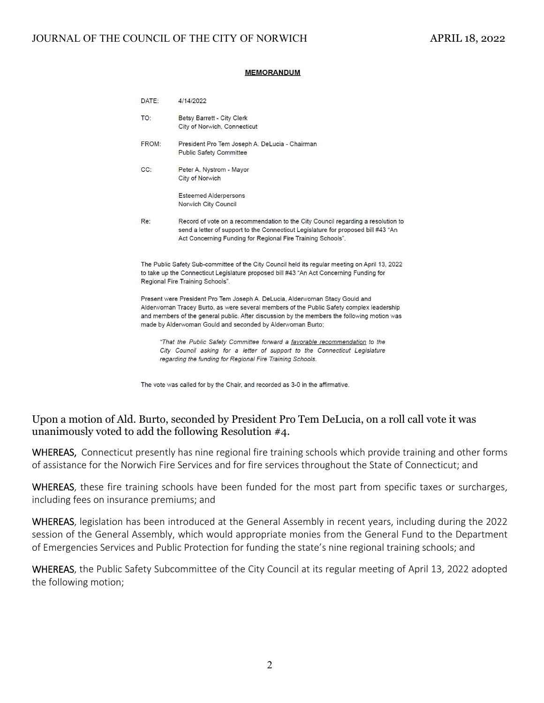#### **MEMORANDUM**

|                                                                                                                                                                                                                        | DATE:                                                                                                                                                                                                                                                                                                                                 | 4/14/2022                                                                                                                                                                                                                            |  |  |  |  |  |  |
|------------------------------------------------------------------------------------------------------------------------------------------------------------------------------------------------------------------------|---------------------------------------------------------------------------------------------------------------------------------------------------------------------------------------------------------------------------------------------------------------------------------------------------------------------------------------|--------------------------------------------------------------------------------------------------------------------------------------------------------------------------------------------------------------------------------------|--|--|--|--|--|--|
|                                                                                                                                                                                                                        | TO:                                                                                                                                                                                                                                                                                                                                   | <b>Betsy Barrett - City Clerk</b><br>City of Norwich, Connecticut                                                                                                                                                                    |  |  |  |  |  |  |
| FROM:<br>President Pro Tem Joseph A. DeLucia - Chairman<br><b>Public Safety Committee</b>                                                                                                                              |                                                                                                                                                                                                                                                                                                                                       |                                                                                                                                                                                                                                      |  |  |  |  |  |  |
|                                                                                                                                                                                                                        | CC:                                                                                                                                                                                                                                                                                                                                   | Peter A. Nystrom - Mayor<br><b>City of Norwich</b>                                                                                                                                                                                   |  |  |  |  |  |  |
|                                                                                                                                                                                                                        |                                                                                                                                                                                                                                                                                                                                       | <b>Esteemed Alderpersons</b><br><b>Norwich City Council</b>                                                                                                                                                                          |  |  |  |  |  |  |
|                                                                                                                                                                                                                        | Re:                                                                                                                                                                                                                                                                                                                                   | Record of vote on a recommendation to the City Council regarding a resolution to<br>send a letter of support to the Connecticut Legislature for proposed bill #43 "An<br>Act Concerning Funding for Regional Fire Training Schools". |  |  |  |  |  |  |
|                                                                                                                                                                                                                        | The Public Safety Sub-committee of the City Council held its regular meeting on April 13, 2022<br>to take up the Connecticut Legislature proposed bill #43 "An Act Concerning Funding for<br>Regional Fire Training Schools".                                                                                                         |                                                                                                                                                                                                                                      |  |  |  |  |  |  |
|                                                                                                                                                                                                                        | Present were President Pro Tem Joseph A. DeLucia, Alderwoman Stacy Gould and<br>Alderwoman Tracey Burto, as were several members of the Public Safety complex leadership<br>and members of the general public. After discussion by the members the following motion was<br>made by Alderwoman Gould and seconded by Alderwoman Burto; |                                                                                                                                                                                                                                      |  |  |  |  |  |  |
| "That the Public Safety Committee forward a favorable recommendation to the<br>City Council asking for a letter of support to the Connecticut Legislature<br>regarding the funding for Regional Fire Training Schools. |                                                                                                                                                                                                                                                                                                                                       |                                                                                                                                                                                                                                      |  |  |  |  |  |  |
|                                                                                                                                                                                                                        |                                                                                                                                                                                                                                                                                                                                       |                                                                                                                                                                                                                                      |  |  |  |  |  |  |

The vote was called for by the Chair, and recorded as 3-0 in the affirmative.

### Upon a motion of Ald. Burto, seconded by President Pro Tem DeLucia, on a roll call vote it was unanimously voted to add the following Resolution #4.

WHEREAS, Connecticut presently has nine regional fire training schools which provide training and other forms of assistance for the Norwich Fire Services and for fire services throughout the State of Connecticut; and

WHEREAS, these fire training schools have been funded for the most part from specific taxes or surcharges, including fees on insurance premiums; and

WHEREAS, legislation has been introduced at the General Assembly in recent years, including during the 2022 session of the General Assembly, which would appropriate monies from the General Fund to the Department of Emergencies Services and Public Protection for funding the state's nine regional training schools; and

WHEREAS, the Public Safety Subcommittee of the City Council at its regular meeting of April 13, 2022 adopted the following motion;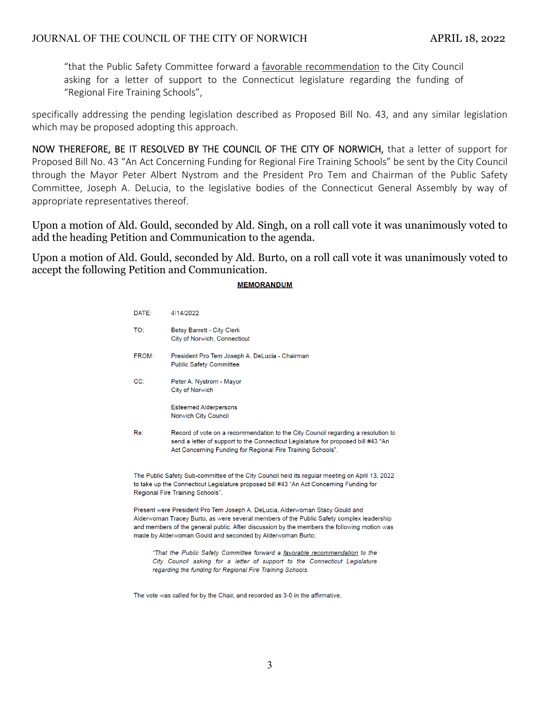"that the Public Safety Committee forward a favorable recommendation to the City Council asking for a letter of support to the Connecticut legislature regarding the funding of "Regional Fire Training Schools",

specifically addressing the pending legislation described as Proposed Bill No. 43, and any similar legislation which may be proposed adopting this approach.

NOW THEREFORE, BE IT RESOLVED BY THE COUNCIL OF THE CITY OF NORWICH, that a letter of support for Proposed Bill No. 43 "An Act Concerning Funding for Regional Fire Training Schools" be sent by the City Council through the Mayor Peter Albert Nystrom and the President Pro Tem and Chairman of the Public Safety Committee, Joseph A. DeLucia, to the legislative bodies of the Connecticut General Assembly by way of appropriate representatives thereof.

Upon a motion of Ald. Gould, seconded by Ald. Singh, on a roll call vote it was unanimously voted to add the heading Petition and Communication to the agenda.

Upon a motion of Ald. Gould, seconded by Ald. Burto, on a roll call vote it was unanimously voted to accept the following Petition and Communication.

#### **MEMORANDUM**

| DATE: | 4/14/2022                                                                                                                                                                                                                            |
|-------|--------------------------------------------------------------------------------------------------------------------------------------------------------------------------------------------------------------------------------------|
| TO:   | Betsy Barrett - City Clerk<br>City of Norwich, Connecticut                                                                                                                                                                           |
| FROM: | President Pro Tem Joseph A. DeLucia - Chairman<br><b>Public Safety Committee</b>                                                                                                                                                     |
| CC:   | Peter A. Nystrom - Mayor<br>City of Norwich                                                                                                                                                                                          |
|       | <b>Esteemed Alderpersons</b><br>Norwich City Council                                                                                                                                                                                 |
| Re:   | Record of vote on a recommendation to the City Council regarding a resolution to<br>send a letter of support to the Connecticut Legislature for proposed bill #43 "An<br>Act Concerning Funding for Regional Fire Training Schools". |
|       | The Public Safety Sub-committee of the City Council held its regular meeting on April 13, 2022                                                                                                                                       |

ril 13, 2022 to take up the Connecticut Legislature proposed bill #43 "An Act Concerning Funding for Regional Fire Training Schools".

Present were President Pro Tem Joseph A. DeLucia, Alderwoman Stacy Gould and Alderwoman Tracey Burto, as were several members of the Public Safety complex leadership and members of the general public. After discussion by the members the following motion was made by Alderwoman Gould and seconded by Alderwoman Burto;

"That the Public Safety Committee forward a favorable recommendation to the City Council asking for a letter of support to the Connecticut Legislature regarding the funding for Regional Fire Training Schools.

The vote was called for by the Chair, and recorded as 3-0 in the affirmative.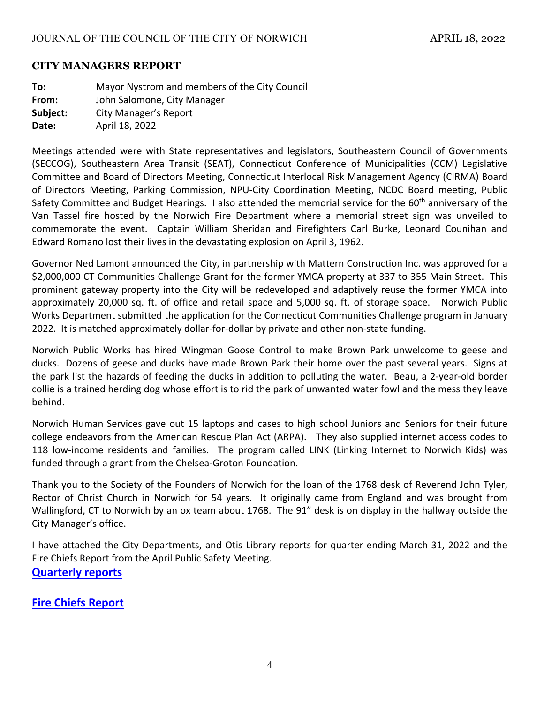#### **CITY MANAGERS REPORT**

**To:** Mayor Nystrom and members of the City Council **From:**  John Salomone, City Manager **Subject:** City Manager's Report **Date:** April 18, 2022

Meetings attended were with State representatives and legislators, Southeastern Council of Governments (SECCOG), Southeastern Area Transit (SEAT), Connecticut Conference of Municipalities (CCM) Legislative Committee and Board of Directors Meeting, Connecticut Interlocal Risk Management Agency (CIRMA) Board of Directors Meeting, Parking Commission, NPU‐City Coordination Meeting, NCDC Board meeting, Public Safety Committee and Budget Hearings. I also attended the memorial service for the 60<sup>th</sup> anniversary of the Van Tassel fire hosted by the Norwich Fire Department where a memorial street sign was unveiled to commemorate the event. Captain William Sheridan and Firefighters Carl Burke, Leonard Counihan and Edward Romano lost their lives in the devastating explosion on April 3, 1962.

Governor Ned Lamont announced the City, in partnership with Mattern Construction Inc. was approved for a \$2,000,000 CT Communities Challenge Grant for the former YMCA property at 337 to 355 Main Street. This prominent gateway property into the City will be redeveloped and adaptively reuse the former YMCA into approximately 20,000 sq. ft. of office and retail space and 5,000 sq. ft. of storage space. Norwich Public Works Department submitted the application for the Connecticut Communities Challenge program in January 2022. It is matched approximately dollar-for-dollar by private and other non-state funding.

Norwich Public Works has hired Wingman Goose Control to make Brown Park unwelcome to geese and ducks. Dozens of geese and ducks have made Brown Park their home over the past several years. Signs at the park list the hazards of feeding the ducks in addition to polluting the water. Beau, a 2‐year‐old border collie is a trained herding dog whose effort is to rid the park of unwanted water fowl and the mess they leave behind.

Norwich Human Services gave out 15 laptops and cases to high school Juniors and Seniors for their future college endeavors from the American Rescue Plan Act (ARPA). They also supplied internet access codes to 118 low-income residents and families. The program called LINK (Linking Internet to Norwich Kids) was funded through a grant from the Chelsea‐Groton Foundation.

Thank you to the Society of the Founders of Norwich for the loan of the 1768 desk of Reverend John Tyler, Rector of Christ Church in Norwich for 54 years. It originally came from England and was brought from Wallingford, CT to Norwich by an ox team about 1768. The 91" desk is on display in the hallway outside the City Manager's office.

I have attached the City Departments, and Otis Library reports for quarter ending March 31, 2022 and the Fire Chiefs Report from the April Public Safety Meeting. **Quarterly reports** 

# **Fire Chiefs Report**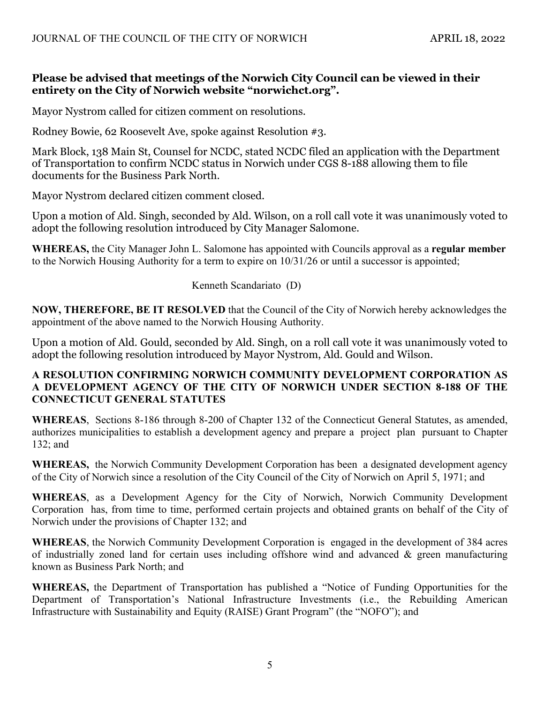#### **Please be advised that meetings of the Norwich City Council can be viewed in their entirety on the City of Norwich website "norwichct.org".**

Mayor Nystrom called for citizen comment on resolutions.

Rodney Bowie, 62 Roosevelt Ave, spoke against Resolution #3.

Mark Block, 138 Main St, Counsel for NCDC, stated NCDC filed an application with the Department of Transportation to confirm NCDC status in Norwich under CGS 8-188 allowing them to file documents for the Business Park North.

Mayor Nystrom declared citizen comment closed.

Upon a motion of Ald. Singh, seconded by Ald. Wilson, on a roll call vote it was unanimously voted to adopt the following resolution introduced by City Manager Salomone.

**WHEREAS,** the City Manager John L. Salomone has appointed with Councils approval as a **regular member** to the Norwich Housing Authority for a term to expire on 10/31/26 or until a successor is appointed;

Kenneth Scandariato (D)

**NOW, THEREFORE, BE IT RESOLVED** that the Council of the City of Norwich hereby acknowledges the appointment of the above named to the Norwich Housing Authority.

Upon a motion of Ald. Gould, seconded by Ald. Singh, on a roll call vote it was unanimously voted to adopt the following resolution introduced by Mayor Nystrom, Ald. Gould and Wilson.

### **A RESOLUTION CONFIRMING NORWICH COMMUNITY DEVELOPMENT CORPORATION AS A DEVELOPMENT AGENCY OF THE CITY OF NORWICH UNDER SECTION 8-188 OF THE CONNECTICUT GENERAL STATUTES**

**WHEREAS**, Sections 8-186 through 8-200 of Chapter 132 of the Connecticut General Statutes, as amended, authorizes municipalities to establish a development agency and prepare a project plan pursuant to Chapter 132; and

**WHEREAS,** the Norwich Community Development Corporation has been a designated development agency of the City of Norwich since a resolution of the City Council of the City of Norwich on April 5, 1971; and

**WHEREAS**, as a Development Agency for the City of Norwich, Norwich Community Development Corporation has, from time to time, performed certain projects and obtained grants on behalf of the City of Norwich under the provisions of Chapter 132; and

**WHEREAS**, the Norwich Community Development Corporation is engaged in the development of 384 acres of industrially zoned land for certain uses including offshore wind and advanced & green manufacturing known as Business Park North; and

**WHEREAS,** the Department of Transportation has published a "Notice of Funding Opportunities for the Department of Transportation's National Infrastructure Investments (i.e., the Rebuilding American Infrastructure with Sustainability and Equity (RAISE) Grant Program" (the "NOFO"); and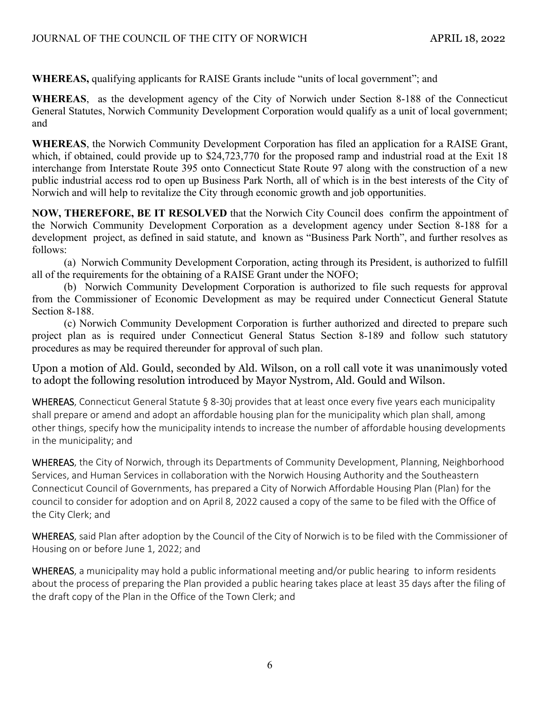**WHEREAS,** qualifying applicants for RAISE Grants include "units of local government"; and

**WHEREAS**, as the development agency of the City of Norwich under Section 8-188 of the Connecticut General Statutes, Norwich Community Development Corporation would qualify as a unit of local government; and

**WHEREAS**, the Norwich Community Development Corporation has filed an application for a RAISE Grant, which, if obtained, could provide up to \$24,723,770 for the proposed ramp and industrial road at the Exit 18 interchange from Interstate Route 395 onto Connecticut State Route 97 along with the construction of a new public industrial access rod to open up Business Park North, all of which is in the best interests of the City of Norwich and will help to revitalize the City through economic growth and job opportunities.

**NOW, THEREFORE, BE IT RESOLVED** that the Norwich City Council does confirm the appointment of the Norwich Community Development Corporation as a development agency under Section 8-188 for a development project, as defined in said statute, and known as "Business Park North", and further resolves as follows:

 (a) Norwich Community Development Corporation, acting through its President, is authorized to fulfill all of the requirements for the obtaining of a RAISE Grant under the NOFO;

 (b) Norwich Community Development Corporation is authorized to file such requests for approval from the Commissioner of Economic Development as may be required under Connecticut General Statute Section 8-188.

 (c) Norwich Community Development Corporation is further authorized and directed to prepare such project plan as is required under Connecticut General Status Section 8-189 and follow such statutory procedures as may be required thereunder for approval of such plan.

Upon a motion of Ald. Gould, seconded by Ald. Wilson, on a roll call vote it was unanimously voted to adopt the following resolution introduced by Mayor Nystrom, Ald. Gould and Wilson.

WHEREAS, Connecticut General Statute § 8-30j provides that at least once every five years each municipality shall prepare or amend and adopt an affordable housing plan for the municipality which plan shall, among other things, specify how the municipality intends to increase the number of affordable housing developments in the municipality; and

WHEREAS, the City of Norwich, through its Departments of Community Development, Planning, Neighborhood Services, and Human Services in collaboration with the Norwich Housing Authority and the Southeastern Connecticut Council of Governments, has prepared a City of Norwich Affordable Housing Plan (Plan) for the council to consider for adoption and on April 8, 2022 caused a copy of the same to be filed with the Office of the City Clerk; and

WHEREAS, said Plan after adoption by the Council of the City of Norwich is to be filed with the Commissioner of Housing on or before June 1, 2022; and

WHEREAS, a municipality may hold a public informational meeting and/or public hearing to inform residents about the process of preparing the Plan provided a public hearing takes place at least 35 days after the filing of the draft copy of the Plan in the Office of the Town Clerk; and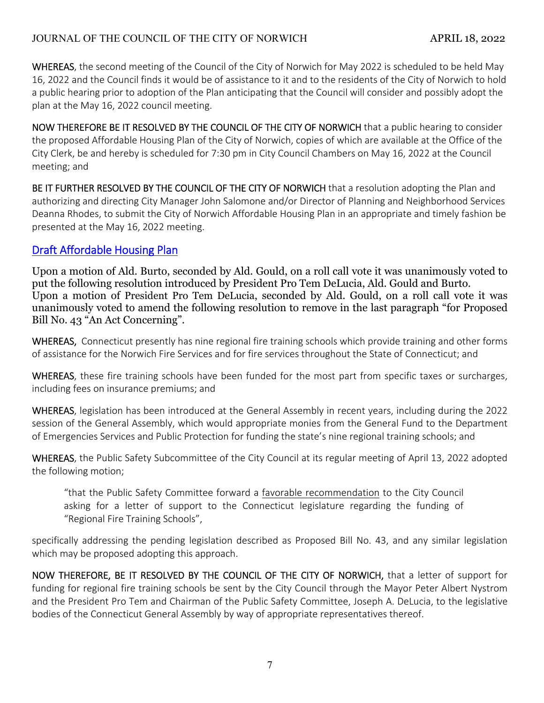# JOURNAL OF THE COUNCIL OF THE CITY OF NORWICH APRIL 18, 2022

WHEREAS, the second meeting of the Council of the City of Norwich for May 2022 is scheduled to be held May 16, 2022 and the Council finds it would be of assistance to it and to the residents of the City of Norwich to hold a public hearing prior to adoption of the Plan anticipating that the Council will consider and possibly adopt the plan at the May 16, 2022 council meeting.

NOW THEREFORE BE IT RESOLVED BY THE COUNCIL OF THE CITY OF NORWICH that a public hearing to consider the proposed Affordable Housing Plan of the City of Norwich, copies of which are available at the Office of the City Clerk, be and hereby is scheduled for 7:30 pm in City Council Chambers on May 16, 2022 at the Council meeting; and

BE IT FURTHER RESOLVED BY THE COUNCIL OF THE CITY OF NORWICH that a resolution adopting the Plan and authorizing and directing City Manager John Salomone and/or Director of Planning and Neighborhood Services Deanna Rhodes, to submit the City of Norwich Affordable Housing Plan in an appropriate and timely fashion be presented at the May 16, 2022 meeting.

# Draft Affordable Housing Plan

Upon a motion of Ald. Burto, seconded by Ald. Gould, on a roll call vote it was unanimously voted to put the following resolution introduced by President Pro Tem DeLucia, Ald. Gould and Burto. Upon a motion of President Pro Tem DeLucia, seconded by Ald. Gould, on a roll call vote it was unanimously voted to amend the following resolution to remove in the last paragraph "for Proposed Bill No. 43 "An Act Concerning".

WHEREAS, Connecticut presently has nine regional fire training schools which provide training and other forms of assistance for the Norwich Fire Services and for fire services throughout the State of Connecticut; and

WHEREAS, these fire training schools have been funded for the most part from specific taxes or surcharges, including fees on insurance premiums; and

WHEREAS, legislation has been introduced at the General Assembly in recent years, including during the 2022 session of the General Assembly, which would appropriate monies from the General Fund to the Department of Emergencies Services and Public Protection for funding the state's nine regional training schools; and

WHEREAS, the Public Safety Subcommittee of the City Council at its regular meeting of April 13, 2022 adopted the following motion;

"that the Public Safety Committee forward a favorable recommendation to the City Council asking for a letter of support to the Connecticut legislature regarding the funding of "Regional Fire Training Schools",

specifically addressing the pending legislation described as Proposed Bill No. 43, and any similar legislation which may be proposed adopting this approach.

NOW THEREFORE, BE IT RESOLVED BY THE COUNCIL OF THE CITY OF NORWICH, that a letter of support for funding for regional fire training schools be sent by the City Council through the Mayor Peter Albert Nystrom and the President Pro Tem and Chairman of the Public Safety Committee, Joseph A. DeLucia, to the legislative bodies of the Connecticut General Assembly by way of appropriate representatives thereof.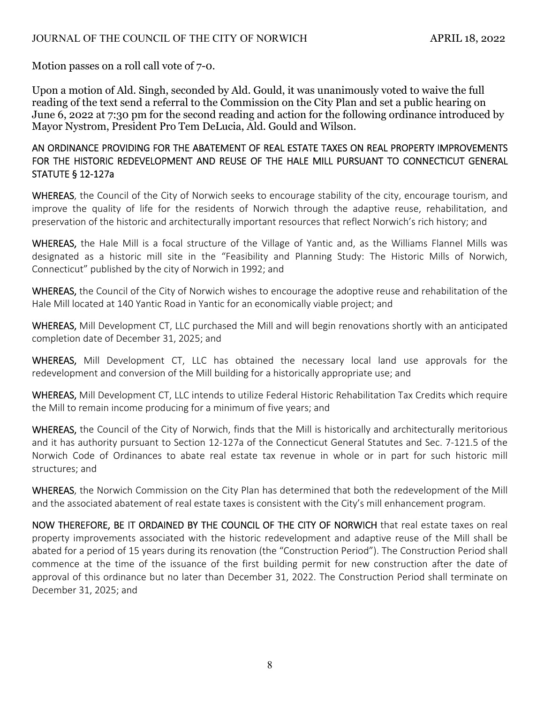Motion passes on a roll call vote of 7-0.

Upon a motion of Ald. Singh, seconded by Ald. Gould, it was unanimously voted to waive the full reading of the text send a referral to the Commission on the City Plan and set a public hearing on June 6, 2022 at 7:30 pm for the second reading and action for the following ordinance introduced by Mayor Nystrom, President Pro Tem DeLucia, Ald. Gould and Wilson.

### AN ORDINANCE PROVIDING FOR THE ABATEMENT OF REAL ESTATE TAXES ON REAL PROPERTY IMPROVEMENTS FOR THE HISTORIC REDEVELOPMENT AND REUSE OF THE HALE MILL PURSUANT TO CONNECTICUT GENERAL STATUTE § 12‐127a

WHEREAS, the Council of the City of Norwich seeks to encourage stability of the city, encourage tourism, and improve the quality of life for the residents of Norwich through the adaptive reuse, rehabilitation, and preservation of the historic and architecturally important resources that reflect Norwich's rich history; and

WHEREAS, the Hale Mill is a focal structure of the Village of Yantic and, as the Williams Flannel Mills was designated as a historic mill site in the "Feasibility and Planning Study: The Historic Mills of Norwich, Connecticut" published by the city of Norwich in 1992; and

WHEREAS, the Council of the City of Norwich wishes to encourage the adoptive reuse and rehabilitation of the Hale Mill located at 140 Yantic Road in Yantic for an economically viable project; and

WHEREAS, Mill Development CT, LLC purchased the Mill and will begin renovations shortly with an anticipated completion date of December 31, 2025; and

WHEREAS, Mill Development CT, LLC has obtained the necessary local land use approvals for the redevelopment and conversion of the Mill building for a historically appropriate use; and

WHEREAS, Mill Development CT, LLC intends to utilize Federal Historic Rehabilitation Tax Credits which require the Mill to remain income producing for a minimum of five years; and

WHEREAS, the Council of the City of Norwich, finds that the Mill is historically and architecturally meritorious and it has authority pursuant to Section 12‐127a of the Connecticut General Statutes and Sec. 7‐121.5 of the Norwich Code of Ordinances to abate real estate tax revenue in whole or in part for such historic mill structures; and

WHEREAS, the Norwich Commission on the City Plan has determined that both the redevelopment of the Mill and the associated abatement of real estate taxes is consistent with the City's mill enhancement program.

NOW THEREFORE, BE IT ORDAINED BY THE COUNCIL OF THE CITY OF NORWICH that real estate taxes on real property improvements associated with the historic redevelopment and adaptive reuse of the Mill shall be abated for a period of 15 years during its renovation (the "Construction Period"). The Construction Period shall commence at the time of the issuance of the first building permit for new construction after the date of approval of this ordinance but no later than December 31, 2022. The Construction Period shall terminate on December 31, 2025; and